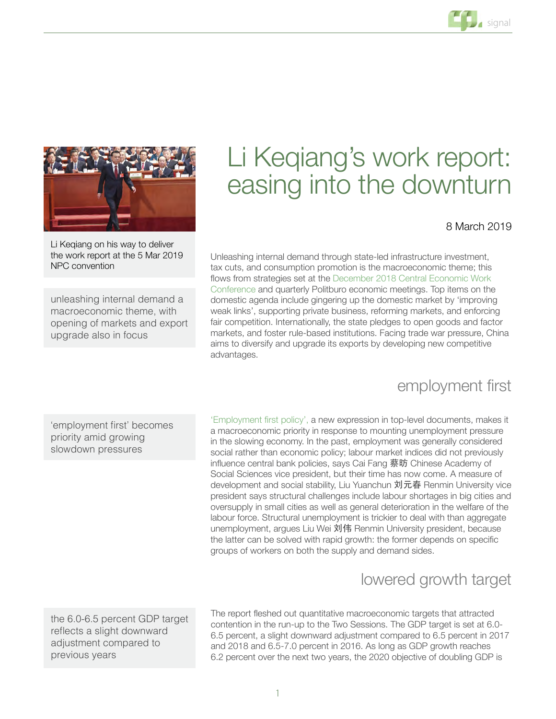

Li Keqiang on his way to deliver the work report at the 5 Mar 2019 NPC convention

unleashing internal demand a macroeconomic theme, with opening of markets and export upgrade also in focus

# Li Keqiang's work report: easing into the downturn

#### 8 March 2019

Unleashing internal demand through state-led infrastructure investment, tax cuts, and consumption promotion is the macroeconomic theme; this flows from strategies set at the [December 2018 Central Economic Work](https://policycn.com/policy_ticker/cewc-pep-talk-for-a-tough-year-ahead/)  [Conference](https://policycn.com/policy_ticker/cewc-pep-talk-for-a-tough-year-ahead/) and quarterly Politburo economic meetings. Top items on the domestic agenda include gingering up the domestic market by 'improving weak links', supporting private business, reforming markets, and enforcing fair competition. Internationally, the state pledges to open goods and factor markets, and foster rule-based institutions. Facing trade war pressure, China aims to diversify and upgrade its exports by developing new competitive advantages.

#### employment first

'employment first' becomes priority amid growing slowdown pressures

['Employment first policy',](https://policycn.com/policy_ticker/growth-for-stability-tops-2019-government-work-report/) a new expression in top-level documents, makes it a macroeconomic priority in response to mounting unemployment pressure in the slowing economy. In the past, employment was generally considered social rather than economic policy; labour market indices did not previously influence central bank policies, says Cai Fang 蔡昉 Chinese Academy of Social Sciences vice president, but their time has now come. A measure of development and social stability, Liu Yuanchun 刘元春 Renmin University vice president says structural challenges include labour shortages in big cities and oversupply in small cities as well as general deterioration in the welfare of the labour force. Structural unemployment is trickier to deal with than aggregate unemployment, argues Liu Wei 刘伟 Renmin University president, because the latter can be solved with rapid growth: the former depends on specific groups of workers on both the supply and demand sides.

# lowered growth target

the 6.0-6.5 percent GDP target reflects a slight downward adjustment compared to previous years

The report fleshed out quantitative macroeconomic targets that attracted contention in the run-up to the Two Sessions. The GDP target is set at 6.0- 6.5 percent, a slight downward adjustment compared to 6.5 percent in 2017 and 2018 and 6.5-7.0 percent in 2016. As long as GDP growth reaches 6.2 percent over the next two years, the 2020 objective of doubling GDP is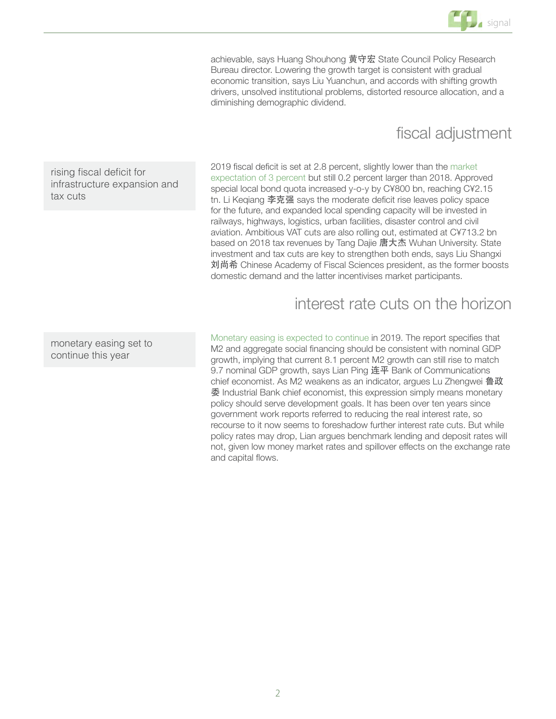

achievable, says Huang Shouhong 黄守宏 State Council Policy Research Bureau director. Lowering the growth target is consistent with gradual economic transition, says Liu Yuanchun, and accords with shifting growth drivers, unsolved institutional problems, distorted resource allocation, and a diminishing demographic dividend.

### fiscal adjustment

rising fiscal deficit for infrastructure expansion and tax cuts

2019 fiscal deficit is set at 2.8 percent, slightly lower than the [market](https://policycn.com/policy_ticker/debate-on-3-percent-fiscal-deficit/)  [expectation of 3 percent](https://policycn.com/policy_ticker/debate-on-3-percent-fiscal-deficit/) but still 0.2 percent larger than 2018. Approved special local bond quota increased y-o-y by C¥800 bn, reaching C¥2.15 tn. Li Keqiang 李克强 says the moderate deficit rise leaves policy space for the future, and expanded local spending capacity will be invested in railways, highways, logistics, urban facilities, disaster control and civil aviation. Ambitious VAT cuts are also rolling out, estimated at C¥713.2 bn based on 2018 tax revenues by Tang Dajie 唐大杰 Wuhan University. State investment and tax cuts are key to strengthen both ends, says Liu Shangxi 刘尚希 Chinese Academy of Fiscal Sciences president, as the former boosts domestic demand and the latter incentivises market participants.

interest rate cuts on the horizon

monetary easing set to continue this year

[Monetary easing is expected to continue](https://policycn.com/policy_ticker/further-monetary-easing-justified-spillover-risk-control-emphasised/) in 2019. The report specifies that M2 and aggregate social financing should be consistent with nominal GDP growth, implying that current 8.1 percent M2 growth can still rise to match 9.7 nominal GDP growth, says Lian Ping 连平 Bank of Communications chief economist. As M2 weakens as an indicator, argues Lu Zhengwei 鲁政 委 Industrial Bank chief economist, this expression simply means monetary policy should serve development goals. It has been over ten years since government work reports referred to reducing the real interest rate, so recourse to it now seems to foreshadow further interest rate cuts. But while policy rates may drop, Lian argues benchmark lending and deposit rates will not, given low money market rates and spillover effects on the exchange rate and capital flows.